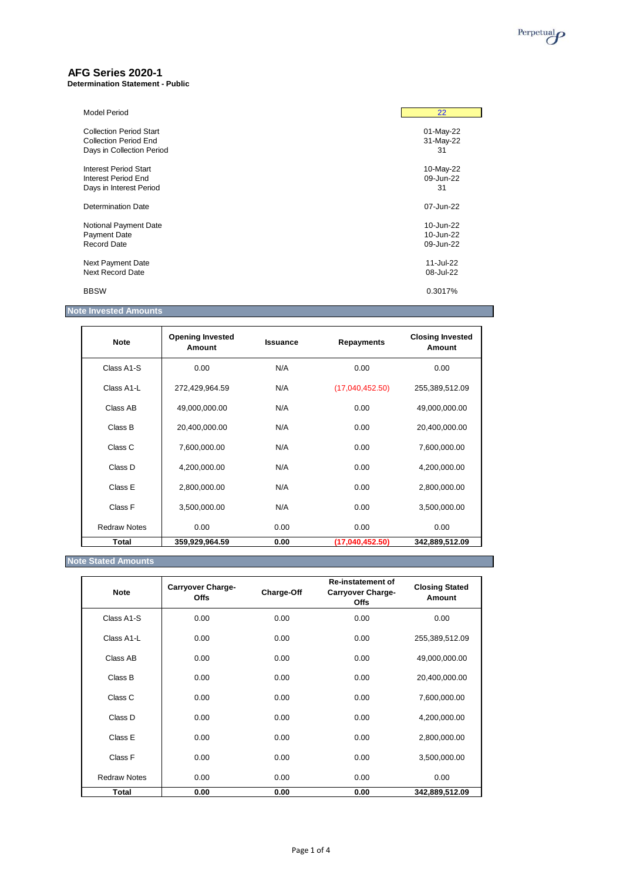

### **AFG Series 2020-1**

**Determination Statement - Public**

| <b>Model Period</b>            | 22        |
|--------------------------------|-----------|
| <b>Collection Period Start</b> | 01-May-22 |
| <b>Collection Period End</b>   | 31-May-22 |
| Days in Collection Period      | 31        |
| Interest Period Start          | 10-May-22 |
| Interest Period End            | 09-Jun-22 |
| Days in Interest Period        | 31        |
| Determination Date             | 07-Jun-22 |
| Notional Payment Date          | 10-Jun-22 |
| Payment Date                   | 10-Jun-22 |
| Record Date                    | 09-Jun-22 |
| Next Payment Date              | 11-Jul-22 |
| Next Record Date               | 08-Jul-22 |
| <b>BBSW</b>                    | 0.3017%   |

### **Note Invested Amounts**

| <b>Note</b>         | <b>Opening Invested</b><br>Amount | <b>Issuance</b> | <b>Repayments</b> | <b>Closing Invested</b><br>Amount |
|---------------------|-----------------------------------|-----------------|-------------------|-----------------------------------|
| Class A1-S          | 0.00                              | N/A             | 0.00              | 0.00                              |
| Class A1-L          | 272,429,964.59                    | N/A             | (17,040,452.50)   | 255,389,512.09                    |
| Class AB            | 49,000,000.00                     | N/A             | 0.00              | 49,000,000.00                     |
| Class B             | 20,400,000.00                     | N/A             | 0.00              | 20,400,000.00                     |
| Class C             | 7,600,000.00                      | N/A             | 0.00              | 7,600,000.00                      |
| Class D             | 4,200,000.00                      | N/A             | 0.00              | 4,200,000.00                      |
| Class E             | 2,800,000.00                      | N/A             | 0.00              | 2,800,000.00                      |
| Class F             | 3,500,000.00                      | N/A             | 0.00              | 3,500,000.00                      |
| <b>Redraw Notes</b> | 0.00                              | 0.00            | 0.00              | 0.00                              |
| <b>Total</b>        | 359,929,964.59                    | 0.00            | (17,040,452.50)   | 342,889,512.09                    |

# **Note Stated Amounts**

| <b>Note</b>         | <b>Carryover Charge-</b><br><b>Offs</b> | Charge-Off | <b>Re-instatement of</b><br><b>Carryover Charge-</b><br><b>Offs</b> | <b>Closing Stated</b><br>Amount |
|---------------------|-----------------------------------------|------------|---------------------------------------------------------------------|---------------------------------|
| Class A1-S          | 0.00                                    | 0.00       | 0.00                                                                | 0.00                            |
| Class A1-L          | 0.00                                    | 0.00       | 0.00                                                                | 255,389,512.09                  |
| Class AB            | 0.00                                    | 0.00       | 0.00                                                                | 49,000,000.00                   |
| Class B             | 0.00                                    | 0.00       | 0.00                                                                | 20,400,000.00                   |
| Class C             | 0.00                                    | 0.00       | 0.00                                                                | 7,600,000.00                    |
| Class D             | 0.00                                    | 0.00       | 0.00                                                                | 4,200,000.00                    |
| Class E             | 0.00                                    | 0.00       | 0.00                                                                | 2,800,000.00                    |
| Class F             | 0.00                                    | 0.00       | 0.00                                                                | 3,500,000.00                    |
| <b>Redraw Notes</b> | 0.00                                    | 0.00       | 0.00                                                                | 0.00                            |
| Total               | 0.00                                    | 0.00       | 0.00                                                                | 342,889,512.09                  |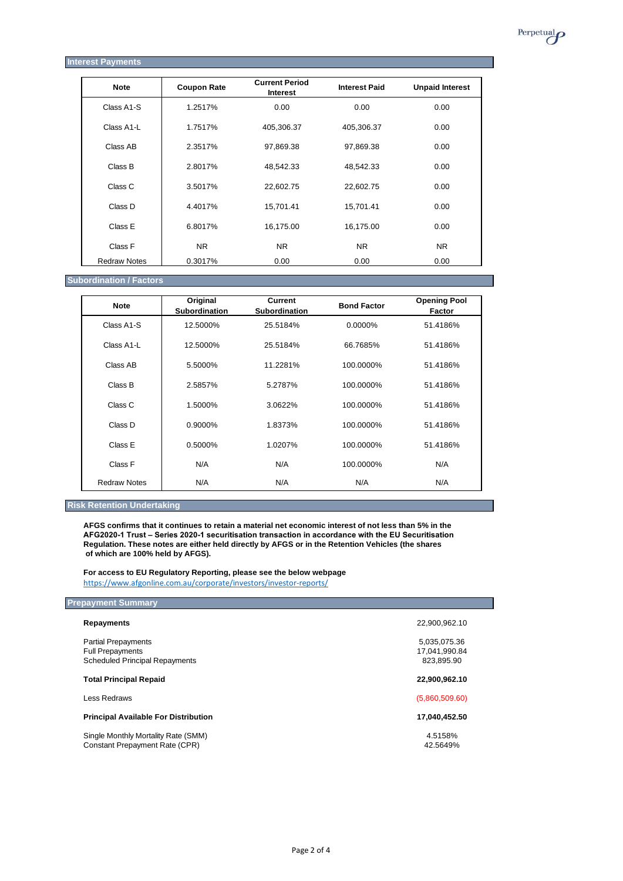

| <b>Note</b>         | <b>Coupon Rate</b> | <b>Current Period</b><br><b>Interest</b> | <b>Interest Paid</b> | <b>Unpaid Interest</b> |
|---------------------|--------------------|------------------------------------------|----------------------|------------------------|
| Class A1-S          | 1.2517%            | 0.00                                     | 0.00                 | 0.00                   |
| Class A1-L          | 1.7517%            | 405,306.37                               | 405,306.37           | 0.00                   |
| Class AB            | 2.3517%            | 97,869.38                                | 97,869.38            | 0.00                   |
| Class B             | 2.8017%            | 48,542.33                                | 48,542.33            | 0.00                   |
| Class C             | 3.5017%            | 22,602.75                                | 22,602.75            | 0.00                   |
| Class D             | 4.4017%            | 15,701.41                                | 15,701.41            | 0.00                   |
| Class E             | 6.8017%            | 16,175.00                                | 16,175.00            | 0.00                   |
| Class F             | <b>NR</b>          | N <sub>R</sub>                           | <b>NR</b>            | N <sub>R</sub>         |
| <b>Redraw Notes</b> | 0.3017%            | 0.00                                     | 0.00                 | 0.00                   |

**Subordination / Factors**

| <b>Note</b>         | Original<br><b>Subordination</b> | <b>Current</b><br><b>Subordination</b> | <b>Bond Factor</b> | <b>Opening Pool</b><br>Factor |
|---------------------|----------------------------------|----------------------------------------|--------------------|-------------------------------|
| Class A1-S          | 12.5000%                         | 25.5184%                               | 0.0000%            | 51.4186%                      |
| Class A1-L          | 12.5000%                         | 25.5184%                               | 66.7685%           | 51.4186%                      |
| Class AB            | 5.5000%                          | 11.2281%                               | 100.0000%          | 51.4186%                      |
| Class B             | 2.5857%                          | 5.2787%                                | 100.0000%          | 51.4186%                      |
| Class C             | 1.5000%                          | 3.0622%                                | 100.0000%          | 51.4186%                      |
| Class D             | 0.9000%                          | 1.8373%                                | 100.0000%          | 51.4186%                      |
| Class E             | $0.5000\%$                       | 1.0207%                                | 100.0000%          | 51.4186%                      |
| Class F             | N/A                              | N/A                                    | 100.0000%          | N/A                           |
| <b>Redraw Notes</b> | N/A                              | N/A                                    | N/A                | N/A                           |

#### **Risk Retention Undertaking**

**AFGS confirms that it continues to retain a material net economic interest of not less than 5% in the AFG2020-1 Trust – Series 2020-1 securitisation transaction in accordance with the EU Securitisation Regulation. These notes are either held directly by AFGS or in the Retention Vehicles (the shares of which are 100% held by AFGS).**

**For access to EU Regulatory Reporting, please see the below webpage** <https://www.afgonline.com.au/corporate/investors/investor-reports/>

## **Prepayment Summary**

| <b>Repayments</b>                                                                              | 22,900,962.10                               |
|------------------------------------------------------------------------------------------------|---------------------------------------------|
| <b>Partial Prepayments</b><br><b>Full Prepayments</b><br><b>Scheduled Principal Repayments</b> | 5,035,075.36<br>17,041,990.84<br>823.895.90 |
| <b>Total Principal Repaid</b>                                                                  | 22,900,962.10                               |
| Less Redraws                                                                                   | (5,860,509.60)                              |
| <b>Principal Available For Distribution</b>                                                    | 17,040,452.50                               |
| Single Monthly Mortality Rate (SMM)<br>Constant Prepayment Rate (CPR)                          | 4.5158%<br>42.5649%                         |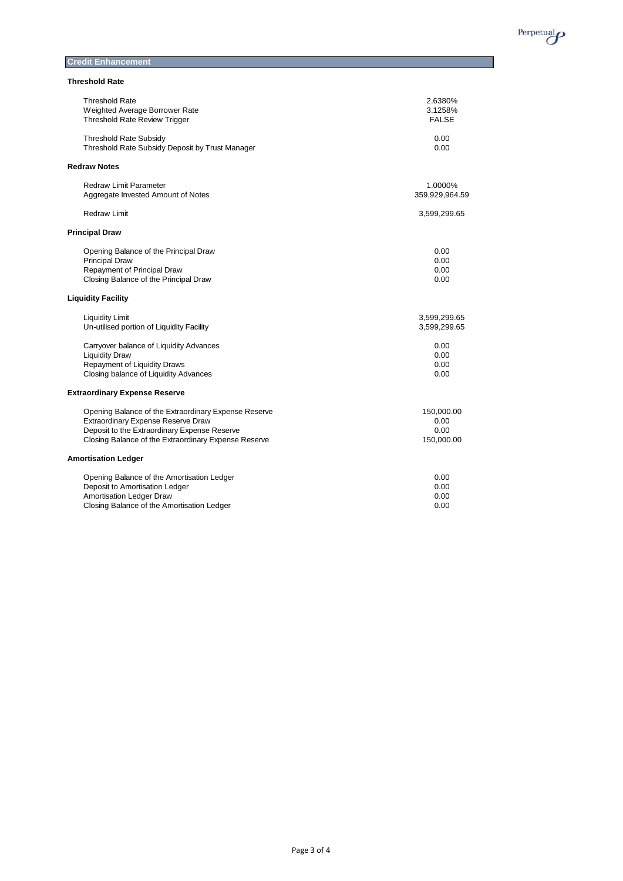

#### **Credit Enhancement**

| <b>Threshold Rate</b> |
|-----------------------|
|-----------------------|

| Threshold Rate                                       | 2.6380%        |
|------------------------------------------------------|----------------|
| Weighted Average Borrower Rate                       | 3.1258%        |
| <b>Threshold Rate Review Trigger</b>                 | <b>FALSE</b>   |
| <b>Threshold Rate Subsidy</b>                        | 0.00           |
| Threshold Rate Subsidy Deposit by Trust Manager      | 0.00           |
| <b>Redraw Notes</b>                                  |                |
| <b>Redraw Limit Parameter</b>                        | 1.0000%        |
| Aggregate Invested Amount of Notes                   | 359,929,964.59 |
| Redraw Limit                                         | 3,599,299.65   |
| <b>Principal Draw</b>                                |                |
| Opening Balance of the Principal Draw                | 0.00           |
| <b>Principal Draw</b>                                | 0.00           |
| Repayment of Principal Draw                          | 0.00           |
| Closing Balance of the Principal Draw                | 0.00           |
| <b>Liquidity Facility</b>                            |                |
| <b>Liquidity Limit</b>                               | 3,599,299.65   |
| Un-utilised portion of Liquidity Facility            | 3,599,299.65   |
| Carryover balance of Liquidity Advances              | 0.00           |
| <b>Liquidity Draw</b>                                | 0.00           |
| Repayment of Liquidity Draws                         | 0.00           |
| Closing balance of Liquidity Advances                | 0.00           |
| <b>Extraordinary Expense Reserve</b>                 |                |
| Opening Balance of the Extraordinary Expense Reserve | 150,000.00     |
| <b>Extraordinary Expense Reserve Draw</b>            | 0.00           |
| Deposit to the Extraordinary Expense Reserve         | 0.00           |
| Closing Balance of the Extraordinary Expense Reserve | 150,000.00     |
| <b>Amortisation Ledger</b>                           |                |
| Opening Balance of the Amortisation Ledger           | 0.00           |
| Deposit to Amortisation Ledger                       | 0.00           |
| Amortisation Ledger Draw                             | 0.00           |
| Closing Balance of the Amortisation Ledger           | 0.00           |